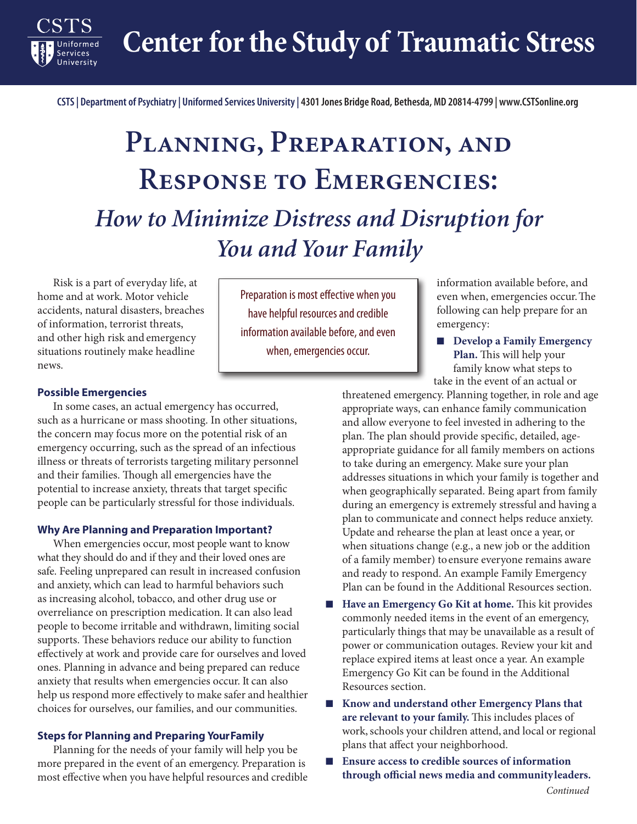**Center for the Study of Traumatic Stress**

**CSTS | Department of Psychiatry | Uniformed Services University | 4301 Jones Bridge Road, Bethesda, MD 20814-4799 | www.CSTSonline.org**

# **Planning, Preparation, and Response to Emergencies:** *How to Minimize Distress and Disruption for You and Your Family*

Risk is a part of everyday life, at home and at work. Motor vehicle accidents, natural disasters, breaches of information, terrorist threats, and other high risk and emergency situations routinely make headline news.

Preparation is most effective when you have helpful resources and credible information available before, and even when, emergencies occur.

information available before, and even when, emergencies occur. The following can help prepare for an emergency:

■ **Develop a Family Emergency Plan.** This will help your family know what steps to take in the event of an actual or

## **Possible Emergencies**

**Services** 

In some cases, an actual emergency has occurred, such as a hurricane or mass shooting. In other situations, the concern may focus more on the potential risk of an emergency occurring, such as the spread of an infectious illness or threats of terrorists targeting military personnel and their families. Though all emergencies have the potential to increase anxiety, threats that target specific people can be particularly stressful for those individuals.

## **Why Are Planning and Preparation Important?**

When emergencies occur, most people want to know what they should do and if they and their loved ones are safe. Feeling unprepared can result in increased confusion and anxiety, which can lead to harmful behaviors such as increasing alcohol, tobacco, and other drug use or overreliance on prescription medication. It can also lead people to become irritable and withdrawn, limiting social supports. These behaviors reduce our ability to function effectively at work and provide care for ourselves and loved ones. Planning in advance and being prepared can reduce anxiety that results when emergencies occur. It can also help us respond more effectively to make safer and healthier choices for ourselves, our families, and our communities.

#### **Steps for Planning and Preparing Your Family**

Planning for the needs of your family will help you be more prepared in the event of an emergency. Preparation is most effective when you have helpful resources and credible threatened emergency. Planning together, in role and age appropriate ways, can enhance family communication and allow everyone to feel invested in adhering to the plan. The plan should provide specific, detailed, ageappropriate guidance for all family members on actions to take during an emergency. Make sure your plan addresses situations in which your family is together and when geographically separated. Being apart from family during an emergency is extremely stressful and having a plan to communicate and connect helps reduce anxiety. Update and rehearse the plan at least once a year, or when situations change (e.g., a new job or the addition of a family member) to ensure everyone remains aware and ready to respond. An example Family Emergency Plan can be found in the Additional Resources section.

- **Have an Emergency Go Kit at home.** This kit provides commonly needed items in the event of an emergency, particularly things that may be unavailable as a result of power or communication outages. Review your kit and replace expired items at least once a year. An example Emergency Go Kit can be found in the Additional Resources section.
- **Know and understand other Emergency Plans that are relevant to your family.** This includes places of work, schools your children attend, and local or regional plans that affect your neighborhood.
- **Ensure access to credible sources of information through official news media and community leaders.**